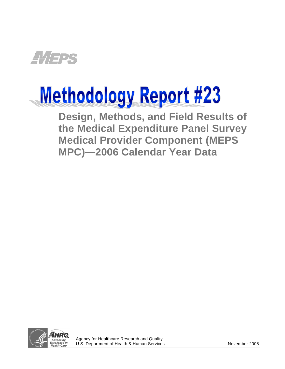

# **Methodology Report #23**

**Design, Methods, and Field Results of the Medical Expenditure Panel Survey Medical Provider Component (MEPS MPC)—2006 Calendar Year Data** 



j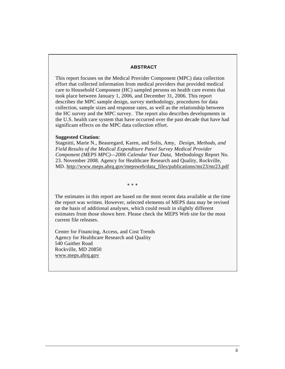#### **ABSTRACT**

This report focuses on the Medical Provider Component (MPC) data collection effort that collected information from medical providers that provided medical care to Household Component (HC) sampled persons on health care events that took place between January 1, 2006, and December 31, 2006. This report describes the MPC sample design, survey methodology, procedures for data collection, sample sizes and response rates, as well as the relationship between the HC survey and the MPC survey. The report also describes developments in the U.S. health care system that have occurred over the past decade that have had significant effects on the MPC data collection effort.

#### **Suggested Citation:**

Stagnitti, Marie N., Beauregard, Karen, and Solis, Amy, *Design, Methods, and Field Results of the Medical Expenditure Panel Survey Medical Provider Component (MEPS MPC)—2006 Calendar Year Data,* Methodology Report No. 23. November 2008. Agency for Healthcare Research and Quality, Rockville, MD. [http://www.meps.ahrq.gov/mepsweb/data\\_files/publications/mr23/mr2](http://www.meps.ahrq.gov/mepsweb/data_files/publications/mr23/mr23.pdf)3.pdf

∗ ∗ ∗

The estimates in this report are based on the most recent data available at the time the report was written. However, selected elements of MEPS data may be revised on the basis of additional analyses, which could result in slightly different estimates from those shown here. Please check the MEPS Web site for the most current file releases.

Center for Financing, Access, and Cost Trends Agency for Healthcare Research and Quality 540 Gaither Road Rockville, MD 20850 <www.meps.ahrq.gov>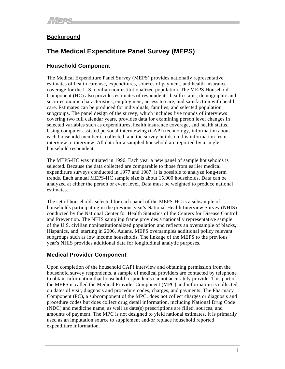# **Background**

# **The Medical Expenditure Panel Survey (MEPS)**

# **Household Component**

The Medical Expenditure Panel Survey (MEPS) provides nationally representative estimates of health care use, expenditures, sources of payment, and health insurance coverage for the U.S. civilian noninstitutionalized population. The MEPS Household Component (HC) also provides estimates of respondents' health status, demographic and socio-economic characteristics, employment, access to care, and satisfaction with health care. Estimates can be produced for individuals, families, and selected population subgroups. The panel design of the survey, which includes five rounds of interviews covering two full calendar years, provides data for examining person level changes in selected variables such as expenditures, health insurance coverage, and health status. Using computer assisted personal interviewing (CAPI) technology, information about each household member is collected, and the survey builds on this information from interview to interview. All data for a sampled household are reported by a single household respondent.

The MEPS-HC was initiated in 1996. Each year a new panel of sample households is selected. Because the data collected are comparable to those from earlier medical expenditure surveys conducted in 1977 and 1987, it is possible to analyze long-term trends. Each annual MEPS-HC sample size is about 15,000 households. Data can be analyzed at either the person or event level. Data must be weighted to produce national estimates.

The set of households selected for each panel of the MEPS-HC is a subsample of households participating in the previous year's National Health Interview Survey (NHIS) conducted by the National Center for Health Statistics of the Centers for Disease Control and Prevention. The NHIS sampling frame provides a nationally representative sample of the U.S. civilian noninstitutionalized population and reflects an oversample of blacks, Hispanics, and, starting in 2006, Asians. MEPS oversamples additional policy relevant subgroups such as low income households. The linkage of the MEPS to the previous year's NHIS provides additional data for longitudinal analytic purposes.

# **Medical Provider Component**

Upon completion of the household CAPI interview and obtaining permission from the household survey respondents, a sample of medical providers are contacted by telephone to obtain information that household respondents cannot accurately provide. This part of the MEPS is called the Medical Provider Component (MPC) and information is collected on dates of visit, diagnosis and procedure codes, charges, and payments. The Pharmacy Component (PC), a subcomponent of the MPC, does not collect charges or diagnosis and procedure codes but does collect drug detail information, including National Drug Code (NDC) and medicine name, as well as date(s) prescriptions are filled, sources, and amounts of payment. The MPC is not designed to yield national estimates. It is primarily used as an imputation source to supplement and/or replace household reported expenditure information.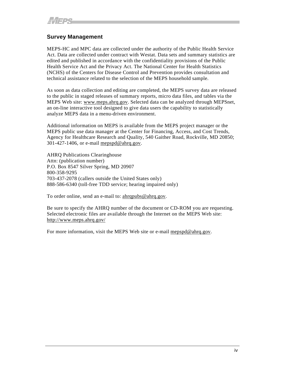# **Survey Management**

MEPS-HC and MPC data are collected under the authority of the Public Health Service Act. Data are collected under contract with Westat. Data sets and summary statistics are edited and published in accordance with the confidentiality provisions of the Public Health Service Act and the Privacy Act. The National Center for Health Statistics (NCHS) of the Centers for Disease Control and Prevention provides consultation and technical assistance related to the selection of the MEPS household sample.

As soon as data collection and editing are completed, the MEPS survey data are released to the public in staged releases of summary reports, micro data files, and tables via the MEPS Web site: www.meps.ahrq.gov. Selected data can be analyzed through MEPSnet, an on-line interactive tool designed to give data users the capability to statistically analyze MEPS data in a menu-driven environment.

Additional information on MEPS is available from the MEPS project manager or the MEPS public use data manager at the Center for Financing, Access, and Cost Trends, Agency for Healthcare Research and Quality, 540 Gaither Road, Rockville, MD 20850; 301-427-1406, or e-mail [mepspd@ahrq.gov](mailto:mepspd@ahrq.gov).

AHRQ Publications Clearinghouse Attn: (publication number) P.O. Box 8547 Silver Spring, MD 20907 800-358-9295 703-437-2078 (callers outside the United States only) 888-586-6340 (toll-free TDD service; hearing impaired only)

To order online, send an e-mail to: [ahrqpubs@ahrq.gov.](mailto:ahrqpubs@ahrq.gov)

Be sure to specify the AHRQ number of the document or CD-ROM you are requesting. Selected electronic files are available through the Internet on the MEPS Web site: <http://www.meps.ahrq.gov/>

For more information, visit the MEPS Web site or e-mail [mepspd@ahrq.gov.](mailto:mepspd@ahrq.gov)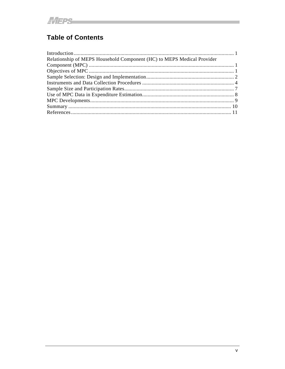# **Table of Contents**

| Relationship of MEPS Household Component (HC) to MEPS Medical Provider |  |
|------------------------------------------------------------------------|--|
|                                                                        |  |
|                                                                        |  |
|                                                                        |  |
|                                                                        |  |
|                                                                        |  |
|                                                                        |  |
|                                                                        |  |
|                                                                        |  |
|                                                                        |  |

the control of the control of the control of the control of the control of the control of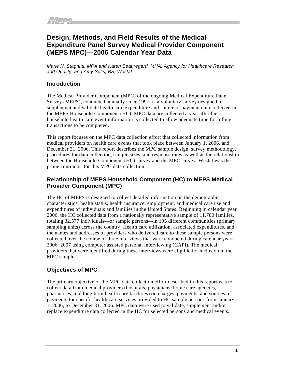# <span id="page-5-0"></span>**Design, Methods, and Field Results of the Medical Expenditure Panel Survey Medical Provider Component (MEPS MPC)—2006 Calendar Year Data**

*Marie N. Stagnitti, MPA and Karen Beauregard, MHA, Agency for Healthcare Research and Quality; and Amy Solis, BS, Westat* 

# **Introduction**

The Medical Provider Component (MPC) of the ongoing Medical Expenditure Panel Survey (MEPS), conducted annually since 1997, is a voluntary survey designed to supplement and validate health care expenditure and source of payment data collected in the MEPS Household Component (HC). MPC data are collected a year after the household health care event information is collected to allow adequate time for billing transactions to be completed.

This report focuses on the MPC data collection effort that collected information from medical providers on health care events that took place between January 1, 2006, and December 31, 2006. This report describes the MPC sample design, survey methodology, procedures for data collection, sample sizes, and response rates as well as the relationship between the Household Component (HC) survey and the MPC survey. Westat was the prime contractor for this MPC data collection.

# **Relationship of MEPS Household Component (HC) to MEPS Medical Provider Component (MPC)**

The HC of MEPS is designed to collect detailed information on the demographic characteristics, health status, health insurance, employment, and medical care use and expenditures of individuals and families in the United States. Beginning in calendar year 2006, the HC collected data from a nationally representative sample of 11,780 families, totaling 32,577 individuals—or sample persons—in 195 different communities (primary sampling units) across the country. Health care utilization, associated expenditures, and the names and addresses of providers who delivered care to these sample persons were collected over the course of three interviews that were conducted during calendar years 2006−2007 using computer assisted personal interviewing (CAPI). The medical providers that were identified during these interviews were eligible for inclusion in the MPC sample.

# **Objectives of MPC**

The primary objective of the MPC data collection effort described in this report was to collect data from medical providers (hospitals, physicians, home care agencies, pharmacies, and long term health care facilities) on charges, payments, and sources of payments for specific health care services provided to HC sample persons from January 1, 2006, to December 31, 2006. MPC data were used to validate, supplement and/or replace expenditure data collected in the HC for selected persons and medical events.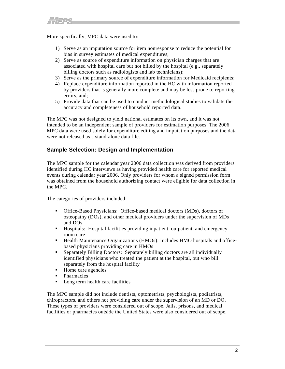<span id="page-6-0"></span>More specifically, MPC data were used to:

- 1) Serve as an imputation source for item nonresponse to reduce the potential for bias in survey estimates of medical expenditures;
- 2) Serve as source of expenditure information on physician charges that are associated with hospital care but not billed by the hospital (e.g., separately billing doctors such as radiologists and lab technicians);
- 3) Serve as the primary source of expenditure information for Medicaid recipients;
- 4) Replace expenditure information reported in the HC with information reported by providers that is generally more complete and may be less prone to reporting errors, and;
- 5) Provide data that can be used to conduct methodological studies to validate the accuracy and completeness of household reported data.

The MPC was not designed to yield national estimates on its own, and it was not intended to be an independent sample of providers for estimation purposes. The 2006 MPC data were used solely for expenditure editing and imputation purposes and the data were not released as a stand-alone data file.

# **Sample Selection: Design and Implementation**

The MPC sample for the calendar year 2006 data collection was derived from providers identified during HC interviews as having provided health care for reported medical events during calendar year 2006. Only providers for whom a signed permission form was obtained from the household authorizing contact were eligible for data collection in the MPC.

The categories of providers included:

- Office-Based Physicians: Office-based medical doctors (MDs), doctors of osteopathy (DOs), and other medical providers under the supervision of MDs and DOs
- Hospitals: Hospital facilities providing inpatient, outpatient, and emergency room care
- Health Maintenance Organizations (HMOs): Includes HMO hospitals and officebased physicians providing care in HMOs
- Separately Billing Doctors: Separately billing doctors are all individually identified physicians who treated the patient at the hospital, but who bill separately from the hospital facility
- Home care agencies
- Pharmacies
- Long term health care facilities

The MPC sample did not include dentists, optometrists, psychologists, podiatrists, chiropractors, and others not providing care under the supervision of an MD or DO. These types of providers were considered out of scope. Jails, prisons, and medical facilities or pharmacies outside the United States were also considered out of scope.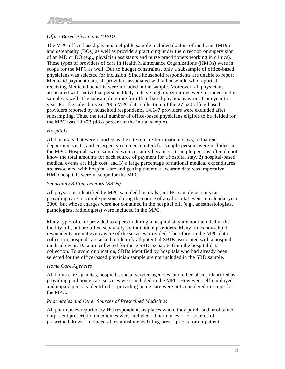## *Office-Based Physicians (OBD)*

The MPC office-based physician eligible sample included doctors of medicine (MDs) and osteopathy (DOs) as well as providers practicing under the direction or supervision of an MD or DO (e.g., physician assistants and nurse practitioners working in clinics). These types of providers of care in Health Maintenance Organizations (HMOs) were in scope for the MPC as well. Due to budget constraints, only a subsample of office-based physicians was selected for inclusion. Since household respondents are unable to report Medicaid payment data, all providers associated with a household who reported receiving Medicaid benefits were included in the sample. Moreover, all physicians associated with individual persons likely to have high expenditures were included in the sample as well. The subsampling rate for office-based physicians varies from year to year. For the calendar year 2006 MPC data collection, of the 27,620 office-based providers reported by household respondents, 14,147 providers were excluded after subsampling. Thus, the total number of office-based physicians eligible to be fielded for the MPC was 13,473 (48.8 percent of the initial sample).

#### *Hospitals*

All hospitals that were reported as the site of care for inpatient stays, outpatient department visits, and emergency room encounters for sample persons were included in the MPC. Hospitals were sampled with certainty because: 1) sample persons often do not know the total amounts for each source of payment for a hospital stay, 2) hospital-based medical events are high cost, and 3) a large percentage of national medical expenditures are associated with hospital care and getting the most accurate data was imperative. HMO hospitals were in scope for the MPC.

#### *Separately Billing Doctors (SBDs)*

All physicians identified by MPC sampled hospitals (not HC sample persons) as providing care to sample persons during the course of any hospital event in calendar year 2006, but whose charges were not contained in the hospital bill (e.g., anesthesiologists, pathologists, radiologists) were included in the MPC.

Many types of care provided to a person during a hospital stay are not included in the facility bill, but are billed separately by individual providers. Many times household respondents are not even aware of the services provided. Therefore, in the MPC data collection, hospitals are asked to identify all potential SBDs associated with a hospital medical event. Data are collected for these SBDs separate from the hospital data collection. To avoid duplication, SBDs identified by hospitals who had already been selected for the office-based physician sample are not included in the SBD sample.

#### *Home Care Agencies*

All home care agencies, hospitals, social service agencies, and other places identified as providing paid home care services were included in the MPC. However, self-employed and unpaid persons identified as providing home care were not considered in scope for the MPC.

#### *Pharmacies and Other Sources of Prescribed Medicines*

All pharmacies reported by HC respondents as places where they purchased or obtained outpatient prescription medicines were included. "Pharmacies"—or sources of prescribed drugs—included all establishments filling prescriptions for outpatient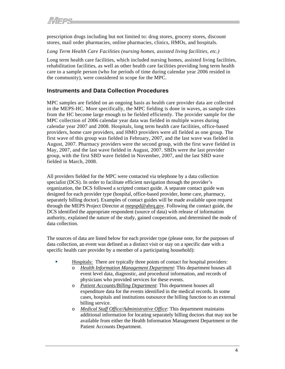<span id="page-8-0"></span>prescription drugs including but not limited to: drug stores, grocery stores, discount stores, mail order pharmacies, online pharmacies, clinics, HMOs, and hospitals.

#### *Long Term Health Care Facilities (nursing homes, assisted living facilities, etc.)*

Long term health care facilities, which included nursing homes, assisted living facilities, rehabilitation facilities, as well as other health care facilities providing long term health care to a sample person (who for periods of time during calendar year 2006 resided in the community), were considered in scope for the MPC.

## **Instruments and Data Collection Procedures**

MPC samples are fielded on an ongoing basis as health care provider data are collected in the MEPS-HC. More specifically, the MPC fielding is done in waves, as sample sizes from the HC become large enough to be fielded efficiently. The provider sample for the MPC collection of 2006 calendar year data was fielded in multiple waves during calendar year 2007 and 2008. Hospitals, long term health care facilities, office-based providers, home care providers, and HMO providers were all fielded as one group. The first wave of this group was fielded in February, 2007, and the last wave was fielded in August, 2007. Pharmacy providers were the second group, with the first wave fielded in May, 2007, and the last wave fielded in August, 2007. SBDs were the last provider group, with the first SBD wave fielded in November, 2007, and the last SBD wave fielded in March, 2008.

All providers fielded for the MPC were contacted via telephone by a data collection specialist (DCS). In order to facilitate efficient navigation through the provider's organization, the DCS followed a scripted contact guide. A separate contact guide was designed for each provider type (hospital, office-based provider, home care, pharmacy, separately billing doctor). Examples of contact guides will be made available upon request through the MEPS Project Director at mepspd@ahrq.gov. Following the contact guide, the DCS identified the appropriate respondent (source of data) with release of information authority, explained the nature of the study, gained cooperation, and determined the mode of data collection.

The sources of data are listed below for each provider type (please note, for the purposes of data collection, an event was defined as a distinct visit or stay on a specific date with a specific health care provider by a member of a participating household):

- Hospitals: There are typically three points of contact for hospital providers:
	- o *Health Information Management Department*: This department houses all event level data, diagnostic, and procedural information, and records of physicians who provided services for these events.
		- o *Patient Accounts/Billing Department*: This department houses all expenditure data for the events identified in the medical records. In some cases, hospitals and institutions outsource the billing function to an external billing service.
		- o *Medical Staff Office/Administrative Office*: This department maintains additional information for locating separately billing doctors that may not be available from either the Health Information Management Department or the Patient Accounts Department.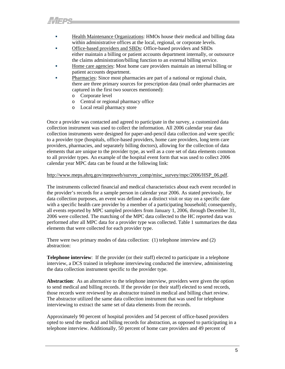- Health Maintenance Organizations: HMOs house their medical and billing data within administrative offices at the local, regional, or corporate levels.
- Office-based providers and SBDs: Office-based providers and SBDs either maintain a billing or patient accounts department internally, or outsource the claims administration/billing function to an external billing service.
- Home care agencies: Most home care providers maintain an internal billing or patient accounts department.
- Pharmacies: Since most pharmacies are part of a national or regional chain, there are three primary sources for prescription data (mail order pharmacies are captured in the first two sources mentioned):
	- o Corporate level
	- o Central or regional pharmacy office
	- o Local retail pharmacy store

Once a provider was contacted and agreed to participate in the survey, a customized data collection instrument was used to collect the information. All 2006 calendar year data collection instruments were designed for paper-and-pencil data collection and were specific to a provider type (hospitals, office-based providers, home care providers, long term care providers, pharmacies, and separately billing doctors), allowing for the collection of data elements that are unique to the provider type, as well as a core set of data elements common to all provider types. An example of the hospital event form that was used to collect 2006 calendar year MPC data can be found at the following link:

#### http://www.meps.ahrq.gov/mepsweb/survey\_comp/misc\_survey/mpc/2006/HSP\_06.pdf.

The instruments collected financial and medical characteristics about each event recorded in the provider's records for a sample person in calendar year 2006. As stated previously, for data collection purposes, an event was defined as a distinct visit or stay on a specific date with a specific health care provider by a member of a participating household; consequently, all events reported by MPC sampled providers from January 1, 2006, through December 31, 2006 were collected. The matching of the MPC data collected to the HC reported data was performed after all MPC data for a provider type was collected. Table 1 summarizes the data elements that were collected for each provider type.

There were two primary modes of data collection: (1) telephone interview and (2) abstraction:

**Telephone interview**: If the provider (or their staff) elected to participate in a telephone interview, a DCS trained in telephone interviewing conducted the interview, administering the data collection instrument specific to the provider type.

**Abstraction**: As an alternative to the telephone interview, providers were given the option to send medical and billing records. If the provider (or their staff) elected to send records, those records were reviewed by an abstractor trained in medical and billing chart review. The abstractor utilized the same data collection instrument that was used for telephone interviewing to extract the same set of data elements from the records.

Approximately 90 percent of hospital providers and 54 percent of office-based providers opted to send the medical and billing records for abstraction, as opposed to participating in a telephone interview. Additionally, 50 percent of home care providers and 49 percent of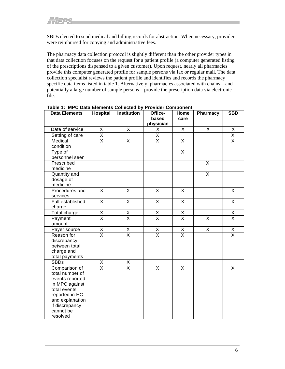SBDs elected to send medical and billing records for abstraction. When necessary, providers were reimbursed for copying and administrative fees.

The pharmacy data collection protocol is slightly different than the other provider types in that data collection focuses on the request for a patient profile (a computer generated listing of the prescriptions dispensed to a given customer). Upon request, nearly all pharmacies provide this computer generated profile for sample persons via fax or regular mail. The data collection specialist reviews the patient profile and identifies and records the pharmacy specific data items listed in table 1. Alternatively, pharmacies associated with chains—and potentially a large number of sample persons—provide the prescription data via electronic file.

| <b>Data Elements</b>           | <b>Hospital</b>                     | <b>Institution</b>                  | Office-<br>based        | Home<br>care            | Pharmacy                | <b>SBD</b>              |
|--------------------------------|-------------------------------------|-------------------------------------|-------------------------|-------------------------|-------------------------|-------------------------|
|                                |                                     |                                     | physician               |                         |                         |                         |
| Date of service                | X                                   | X                                   | Χ                       | X                       | X                       | Χ                       |
| Setting of care                | $\frac{\overline{X}}{\overline{X}}$ |                                     | $\overline{\mathsf{x}}$ |                         |                         | $\overline{\mathsf{X}}$ |
| Medical                        |                                     | $\overline{\mathsf{x}}$             | $\overline{\mathsf{x}}$ | $\overline{X}$          |                         | $\overline{\mathsf{x}}$ |
| condition                      |                                     |                                     |                         |                         |                         |                         |
| Type of                        |                                     |                                     |                         | $\overline{X}$          |                         |                         |
| personnel seen                 |                                     |                                     |                         |                         |                         |                         |
| Prescribed                     |                                     |                                     |                         |                         | X                       |                         |
| medicine                       |                                     |                                     |                         |                         |                         |                         |
| Quantity and                   |                                     |                                     |                         |                         | $\overline{\mathsf{x}}$ |                         |
| dosage of                      |                                     |                                     |                         |                         |                         |                         |
| medicine                       |                                     |                                     |                         |                         |                         |                         |
| Procedures and                 | $\overline{\mathsf{x}}$             | $\overline{\mathsf{x}}$             | $\overline{\mathsf{x}}$ | $\overline{\mathsf{x}}$ |                         | $\overline{\mathsf{x}}$ |
| services                       |                                     |                                     |                         |                         |                         |                         |
| Full established               | $\overline{\mathsf{x}}$             | $\overline{\mathsf{x}}$             | $\overline{\mathsf{x}}$ | $\overline{\mathsf{x}}$ |                         | $\overline{\mathsf{X}}$ |
| charge                         |                                     |                                     |                         |                         |                         |                         |
| Total charge                   | $\overline{X}$                      | $\overline{X}$                      | $\overline{X}$          | $\frac{x}{x}$           |                         | $\frac{x}{x}$           |
| Payment                        | $\overline{\mathsf{x}}$             | $\overline{\mathsf{x}}$             | $\overline{\mathsf{x}}$ |                         | $\overline{\mathsf{x}}$ |                         |
| amount                         |                                     |                                     |                         |                         |                         |                         |
| Payer source                   | $\frac{\mathsf{X}}{\mathsf{X}}$     | $\frac{x}{x}$                       | $\overline{X}$          | $\frac{x}{x}$           | $\overline{X}$          | $\frac{x}{x}$           |
| Reason for                     |                                     |                                     | $\overline{\mathsf{x}}$ |                         |                         |                         |
| discrepancy                    |                                     |                                     |                         |                         |                         |                         |
| between total                  |                                     |                                     |                         |                         |                         |                         |
| charge and                     |                                     |                                     |                         |                         |                         |                         |
| total payments                 |                                     |                                     |                         |                         |                         |                         |
| <b>SBDs</b>                    | X                                   | $\frac{\overline{X}}{\overline{X}}$ |                         |                         |                         |                         |
| Comparison of                  | $\overline{\mathsf{x}}$             |                                     | $\overline{\mathsf{x}}$ | $\overline{X}$          |                         | X                       |
| total number of                |                                     |                                     |                         |                         |                         |                         |
| events reported                |                                     |                                     |                         |                         |                         |                         |
| in MPC against                 |                                     |                                     |                         |                         |                         |                         |
| total events<br>reported in HC |                                     |                                     |                         |                         |                         |                         |
| and explanation                |                                     |                                     |                         |                         |                         |                         |
| if discrepancy                 |                                     |                                     |                         |                         |                         |                         |
| cannot be                      |                                     |                                     |                         |                         |                         |                         |
| resolved                       |                                     |                                     |                         |                         |                         |                         |

**Table 1: MPC Data Elements Collected by Provider Component**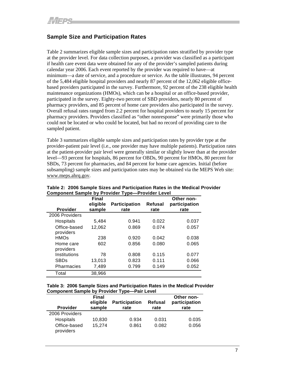# <span id="page-11-0"></span>**Sample Size and Participation Rates**

Table 2 summarizes eligible sample sizes and participation rates stratified by provider type at the provider level. For data collection purposes, a provider was classified as a participant if health care event data were obtained for any of the provider's sampled patients during calendar year 2006. Each event reported by the provider was required to have—at minimum—a date of service, and a procedure or service. As the table illustrates, 94 percent of the 5,484 eligible hospital providers and nearly 87 percent of the 12,062 eligible officebased providers participated in the survey. Furthermore, 92 percent of the 238 eligible health maintenance organizations (HMOs), which can be a hospital or an office-based provider, participated in the survey. Eighty-two percent of SBD providers, nearly 80 percent of pharmacy providers, and 85 percent of home care providers also participated in the survey. Overall refusal rates ranged from 2.2 percent for hospital providers to nearly 15 percent for pharmacy providers. Providers classified as "other nonresponse" were primarily those who could not be located or who could be located, but had no record of providing care to the sampled patient.

Table 3 summarizes eligible sample sizes and participation rates by provider type at the provider-patient pair level (i.e., one provider may have multiple patients). Participation rates at the patient-provider pair level were generally similar or slightly lower than at the provider level—93 percent for hospitals, 86 percent for OBDs, 90 percent for HMOs, 80 percent for SBDs, 73 percent for pharmacies, and 84 percent for home care agencies. Initial (before subsampling) sample sizes and participation rates may be obtained via the MEPS Web site: www.meps.ahrq.gov.

|                 | <b>Final</b> |                      |         | Other non-    |
|-----------------|--------------|----------------------|---------|---------------|
|                 | eligible     | <b>Participation</b> | Refusal | participation |
| <b>Provider</b> | sample       | rate                 | rate    | rate          |
| 2006 Providers  |              |                      |         |               |
| Hospitals       | 5,484        | 0.941                | 0.022   | 0.037         |
| Office-based    | 12,062       | 0.869                | 0.074   | 0.057         |
| providers       |              |                      |         |               |
| <b>HMOs</b>     | 238          | 0.920                | 0.042   | 0.038         |
| Home care       | 602          | 0.856                | 0.080   | 0.065         |
| providers       |              |                      |         |               |
| Institutions    | 78           | 0.808                | 0.115   | 0.077         |
| <b>SBDs</b>     | 13,013       | 0.823                | 0.111   | 0.066         |
| Pharmacies      | 7,489        | 0.799                | 0.149   | 0.052         |
| Total           | 38,966       |                      |         |               |

**Table 2: 2006 Sample Sizes and Participation Rates in the Medical Provider Component Sample by Provider Type—Provider Level** 

**Table 3: 2006 Sample Sizes and Participation Rates in the Medical Provider Component Sample by Provider Type—Pair Level** 

| <b>Provider</b>           | <b>Final</b><br>eligible<br>sample | <b>Participation</b><br>Refusal<br>rate<br>rate |       | Other non-<br>participation<br>rate |  |
|---------------------------|------------------------------------|-------------------------------------------------|-------|-------------------------------------|--|
| 2006 Providers            |                                    |                                                 |       |                                     |  |
| Hospitals                 | 10,830                             | 0.934                                           | 0.031 | 0.035                               |  |
| Office-based<br>providers | 15,274                             | 0.861                                           | 0.082 | 0.056                               |  |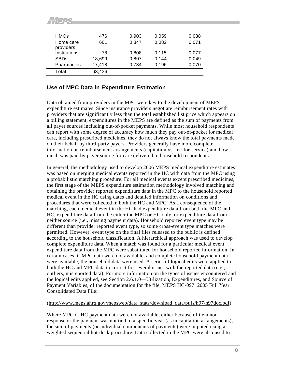<span id="page-12-0"></span>

| <b>HMOs</b>            | 476    | 0.903 | 0.059 | 0.038 |
|------------------------|--------|-------|-------|-------|
| Home care<br>providers | 661    | 0.847 | 0.082 | 0.071 |
| Institutions           | 78     | 0.808 | 0.115 | 0.077 |
| <b>SBDs</b>            | 18,699 | 0.807 | 0.144 | 0.049 |
| Pharmacies             | 17,418 | 0.734 | 0.196 | 0.070 |
| Total                  | 63,436 |       |       |       |

# **Use of MPC Data in Expenditure Estimation**

ALIEDR

Data obtained from providers in the MPC were key to the development of MEPS expenditure estimates. Since insurance providers negotiate reimbursement rates with providers that are significantly less than the total established list price which appears on a billing statement, expenditures in the MEPS are defined as the sum of payments from all payer sources including out-of-pocket payments. While most household respondents can report with some degree of accuracy how much they pay out-of-pocket for medical care, including prescribed medicines, they do not always know the total payments made on their behalf by third-party payers. Providers generally have more complete information on reimbursement arrangements (capitation vs. fee-for-service) and how much was paid by payer source for care delivered to household respondents.

In general, the methodology used to develop 2006 MEPS medical expenditure estimates was based on merging medical events reported in the HC with data from the MPC using a probabilistic matching procedure. For all medical events except prescribed medicines, the first stage of the MEPS expenditure estimation methodology involved matching and obtaining the provider reported expenditure data in the MPC to the household reported medical event in the HC using dates and detailed information on conditions and procedures that were collected in both the HC and MPC. As a consequence of the matching, each medical event in the HC had expenditure data from both the MPC and HC, expenditure data from the either the MPC or HC only, or expenditure data from neither source (i.e., missing payment data). Household reported event type may be different than provider reported event type, so some cross-event type matches were permitted. However, event type on the final files released to the public is defined according to the household classification. A hierarchical approach was used to develop complete expenditure data. When a match was found for a particular medical event, expenditure data from the MPC were substituted for household reported information. In certain cases, if MPC data were not available, and complete household payment data were available, the household data were used. A series of logical edits were applied to both the HC and MPC data to correct for several issues with the reported data (e.g., outliers, misreported data). For more information on the types of issues encountered and the logical edits applied, see Section 2.6.1.0—Utilization, Expenditures, and Source of Payment Variables, of the documentation for the file, MEPS HC-097: 2005 Full Year Consolidated Data File:

#### (http://www.meps.ahrq.gov/mepsweb/data\_stats/download\_data/pufs/h97/h97doc.pdf).

Where MPC or HC payment data were not available, either because of item nonresponse or the payment was not tied to a specific visit (as in capitation arrangements), the sum of payments (or individual components of payments) were imputed using a weighted sequential hot-deck procedure. Data collected in the MPC were also used to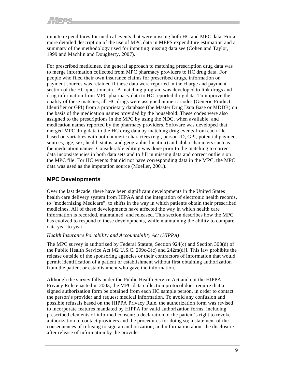<span id="page-13-0"></span>impute expenditures for medical events that were missing both HC and MPC data. For a more detailed description of the use of MPC data in MEPS expenditure estimation and a summary of the methodology used for imputing missing data see (Cohen and Taylor, 1999 and Machlin and Dougherty, 2007).

For prescribed medicines, the general approach to matching prescription drug data was to merge information collected from MPC pharmacy providers to HC drug data. For people who filed their own insurance claims for prescribed drugs, information on payment sources was retained if these data were reported in the charge and payment section of the HC questionnaire. A matching program was developed to link drugs and drug information from MPC pharmacy data to HC reported drug data. To improve the quality of these matches, all HC drugs were assigned numeric codes (Generic Product Identifier or GPI) from a proprietary database (the Master Drug Data Base or MDDB) on the basis of the medication names provided by the household. These codes were also assigned to the prescriptions in the MPC by using the NDC, when available, and medication names reported by the pharmacy providers. Software was developed that merged MPC drug data to the HC drug data by matching drug events from each file based on variables with both numeric characters (e.g., person ID, GPI, potential payment sources, age, sex, health status, and geographic location) and alpha characters such as the medication names. Considerable editing was done prior to the matching to correct data inconsistencies in both data sets and to fill in missing data and correct outliers on the MPC file. For HC events that did not have corresponding data in the MPC, the MPC data was used as the imputation source (Moeller, 2001).

# **MPC Developments**

Over the last decade, there have been significant developments in the United States health care delivery system from HIPAA and the integration of electronic health records, to "modernizing Medicare", to shifts in the way in which patients obtain their prescribed medicines. All of these developments have affected the way in which health care information is recorded, maintained, and released. This section describes how the MPC has evolved to respond to these developments, while maintaining the ability to compare data year to year.

#### *Health Insurance Portability and Accountability Act (HIPPA)*

The MPC survey is authorized by Federal Statute, Section 924(c) and Section 308(d) of the Public Health Service Act [42 U.S.C. 299c-3(c) and 242m(d)]. This law prohibits the release outside of the sponsoring agencies or their contractors of information that would permit identification of a patient or establishment without first obtaining authorization from the patient or establishment who gave the information.

Although the survey falls under the Public Health Service Act and not the HIPPA Privacy Rule enacted in 2003, the MPC data collection protocol does require that a signed authorization form be obtained from each HC sample person, in order to contact the person's provider and request medical information. To avoid any confusion and possible refusals based on the HIPPA Privacy Rule, the authorization form was revised to incorporate features mandated by HIPPA for valid authorization forms, including prescribed elements of informed consent: a declaration of the patient's right to revoke authorization to contact providers and the procedures for doing so; a statement of the consequences of refusing to sign an authorization; and information about the disclosure after release of information by the provider.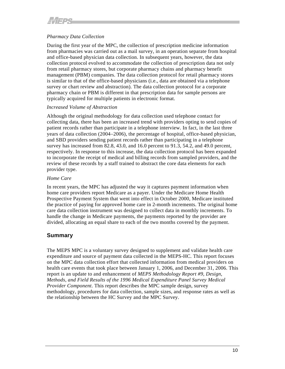# <span id="page-14-0"></span>*Pharmacy Data Collection*

During the first year of the MPC, the collection of prescription medicine information from pharmacies was carried out as a mail survey, in an operation separate from hospital and office-based physician data collection. In subsequent years, however, the data collection protocol evolved to accommodate the collection of prescription data not only from retail pharmacy stores, but corporate pharmacy chains and pharmacy benefit management (PBM) companies. The data collection protocol for retail pharmacy stores is similar to that of the office-based physicians (i.e., data are obtained via a telephone survey or chart review and abstraction). The data collection protocol for a corporate pharmacy chain or PBM is different in that prescription data for sample persons are typically acquired for multiple patients in electronic format.

#### *Increased Volume of Abstraction*

Although the original methodology for data collection used telephone contact for collecting data, there has been an increased trend with providers opting to send copies of patient records rather than participate in a telephone interview. In fact, in the last three years of data collection (2004−2006), the percentage of hospital, office-based physician, and SBD providers sending patient records rather than participating in a telephone survey has increased from 82.8, 43.0, and 16.0 percent to 91.3, 54.2, and 49.0 percent, respectively. In response to this increase, the data collection protocol has been expanded to incorporate the receipt of medical and billing records from sampled providers, and the review of these records by a staff trained to abstract the core data elements for each provider type.

### *Home Care*

In recent years, the MPC has adjusted the way it captures payment information when home care providers report Medicare as a payer. Under the Medicare Home Health Prospective Payment System that went into effect in October 2000, Medicare instituted the practice of paying for approved home care in 2-month increments. The original home care data collection instrument was designed to collect data in monthly increments. To handle the change in Medicare payments, the payments reported by the provider are divided, allocating an equal share to each of the two months covered by the payment.

# **Summary**

The MEPS MPC is a voluntary survey designed to supplement and validate health care expenditure and source of payment data collected in the MEPS-HC. This report focuses on the MPC data collection effort that collected information from medical providers on health care events that took place between January 1, 2006, and December 31, 2006. This report is an update to and enhancement of *MEPS Methodology Report #9*, *Design, Methods, and Field Results of the 1996 Medical Expenditure Panel Survey Medical Provider Component*. This report describes the MPC sample design, survey methodology, procedures for data collection, sample sizes, and response rates as well as the relationship between the HC Survey and the MPC Survey.